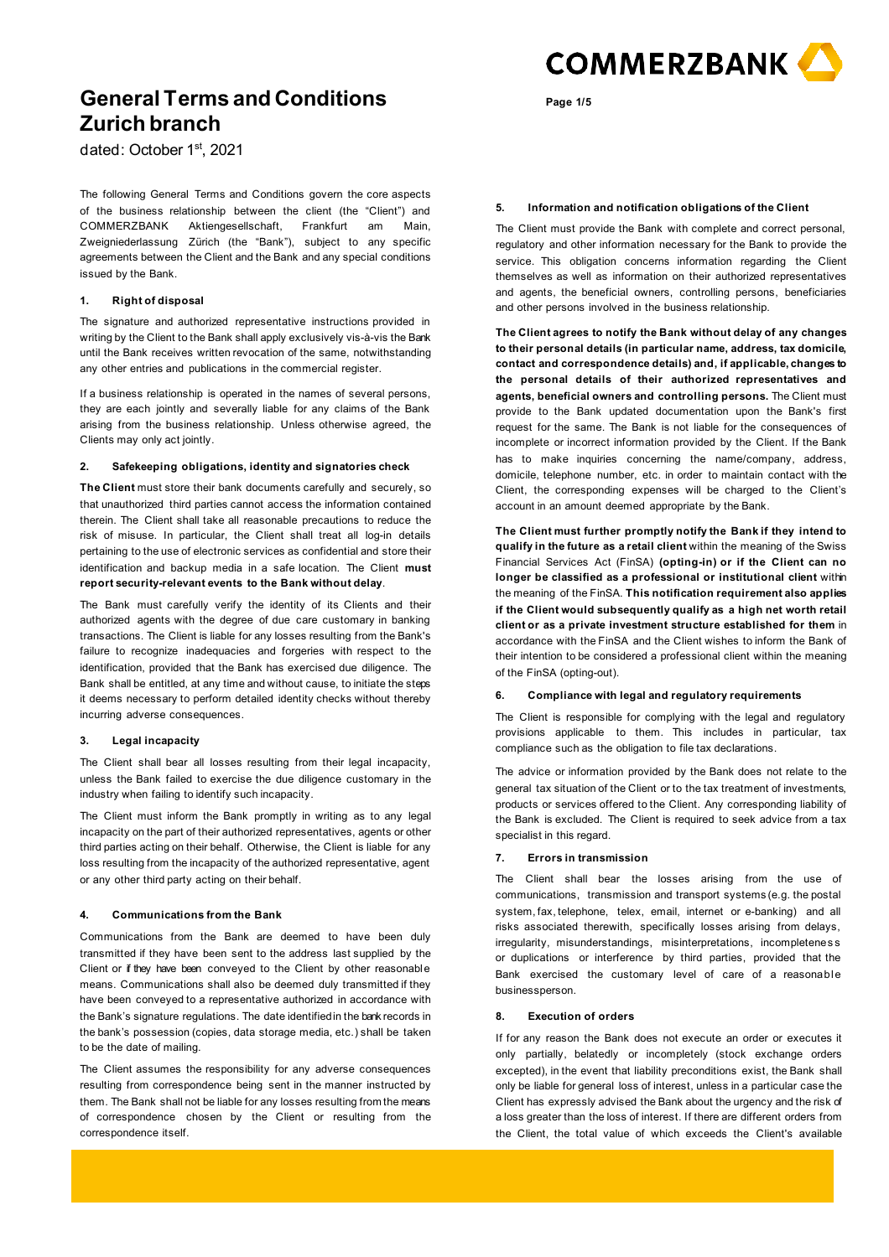

dated: October 1st, 2021

The following General Terms and Conditions govern the core aspects of the business relationship between the client (the "Client") and COMMERZBANK Aktiengesellschaft, Frankfurt am Main, Zweigniederlassung Zürich (the "Bank"), subject to any specific agreements between the Client and the Bank and any special conditions issued by the Bank.

# **1. Right of disposal**

The signature and authorized representative instructions provided in writing by the Client to the Bank shall apply exclusively vis-à-vis the Bank until the Bank receives written revocation of the same, notwithstanding any other entries and publications in the commercial register.

If a business relationship is operated in the names of several persons, they are each jointly and severally liable for any claims of the Bank arising from the business relationship. Unless otherwise agreed, the Clients may only act jointly.

## **2. Safekeeping obligations, identity and signatories check**

**The Client** must store their bank documents carefully and securely, so that unauthorized third parties cannot access the information contained therein. The Client shall take all reasonable precautions to reduce the risk of misuse. In particular, the Client shall treat all log-in details pertaining to the use of electronic services as confidential and store their identification and backup media in a safe location. The Client **must report security-relevant events to the Bank without delay**.

The Bank must carefully verify the identity of its Clients and their authorized agents with the degree of due care customary in banking transactions. The Client is liable for any losses resulting from the Bank's failure to recognize inadequacies and forgeries with respect to the identification, provided that the Bank has exercised due diligence. The Bank shall be entitled, at any time and without cause, to initiate the steps it deems necessary to perform detailed identity checks without thereby incurring adverse consequences.

## **3. Legal incapacity**

The Client shall bear all losses resulting from their legal incapacity, unless the Bank failed to exercise the due diligence customary in the industry when failing to identify such incapacity.

The Client must inform the Bank promptly in writing as to any legal incapacity on the part of their authorized representatives, agents or other third parties acting on their behalf. Otherwise, the Client is liable for any loss resulting from the incapacity of the authorized representative, agent or any other third party acting on their behalf.

## **4. Communications from the Bank**

Communications from the Bank are deemed to have been duly transmitted if they have been sent to the address last supplied by the Client or if they have been conveyed to the Client by other reasonable means. Communications shall also be deemed duly transmitted if they have been conveyed to a representative authorized in accordance with the Bank's signature regulations. The date identified in the bank records in the bank's possession (copies, data storage media, etc.) shall be taken to be the date of mailing.

The Client assumes the responsibility for any adverse consequences resulting from correspondence being sent in the manner instructed by them. The Bank shall not be liable for any losses resulting from the means of correspondence chosen by the Client or resulting from the correspondence itself.

## **5. Information and notification obligations of the Client**

**Page 1/5**

The Client must provide the Bank with complete and correct personal, regulatory and other information necessary for the Bank to provide the service. This obligation concerns information regarding the Client themselves as well as information on their authorized representatives and agents, the beneficial owners, controlling persons, beneficiaries and other persons involved in the business relationship.

**The Client agrees to notify the Bank without delay of any changes to their personal details (in particular name, address, tax domicile, contact and correspondence details) and, if applicable, changes to the personal details of their authorized representatives and agents, beneficial owners and controlling persons.** The Client must provide to the Bank updated documentation upon the Bank's first request for the same. The Bank is not liable for the consequences of incomplete or incorrect information provided by the Client. If the Bank has to make inquiries concerning the name/company, address, domicile, telephone number, etc. in order to maintain contact with the Client, the corresponding expenses will be charged to the Client's account in an amount deemed appropriate by the Bank.

**The Client must further promptly notify the Bank if they intend to qualify in the future as a retail client** within the meaning of the Swiss Financial Services Act (FinSA) **(opting-in) or if the Client can no longer be classified as a professional or institutional client** within the meaning of the FinSA. **This notification requirement also applies if the Client would subsequently qualify as a high net worth retail client or as a private investment structure established for them** in accordance with the FinSA and the Client wishes to inform the Bank of their intention to be considered a professional client within the meaning of the FinSA (opting-out).

# **6. Compliance with legal and regulatory requirements**

The Client is responsible for complying with the legal and regulatory provisions applicable to them. This includes in particular, tax compliance such as the obligation to file tax declarations.

The advice or information provided by the Bank does not relate to the general tax situation of the Client or to the tax treatment of investments, products or services offered to the Client. Any corresponding liability of the Bank is excluded. The Client is required to seek advice from a tax specialist in this regard.

# **7. Errors in transmission**

The Client shall bear the losses arising from the use of communications, transmission and transport systems (e.g. the postal system, fax, telephone, telex, email, internet or e-banking) and all risks associated therewith, specifically losses arising from delays, irregularity, misunderstandings, misinterpretations, incompletenes s or duplications or interference by third parties, provided that the Bank exercised the customary level of care of a reasonable businessperson.

# **8. Execution of orders**

If for any reason the Bank does not execute an order or executes it only partially, belatedly or incompletely (stock exchange orders excepted), in the event that liability preconditions exist, the Bank shall only be liable for general loss of interest, unless in a particular case the Client has expressly advised the Bank about the urgency and the risk of a loss greater than the loss of interest. If there are different orders from the Client, the total value of which exceeds the Client's available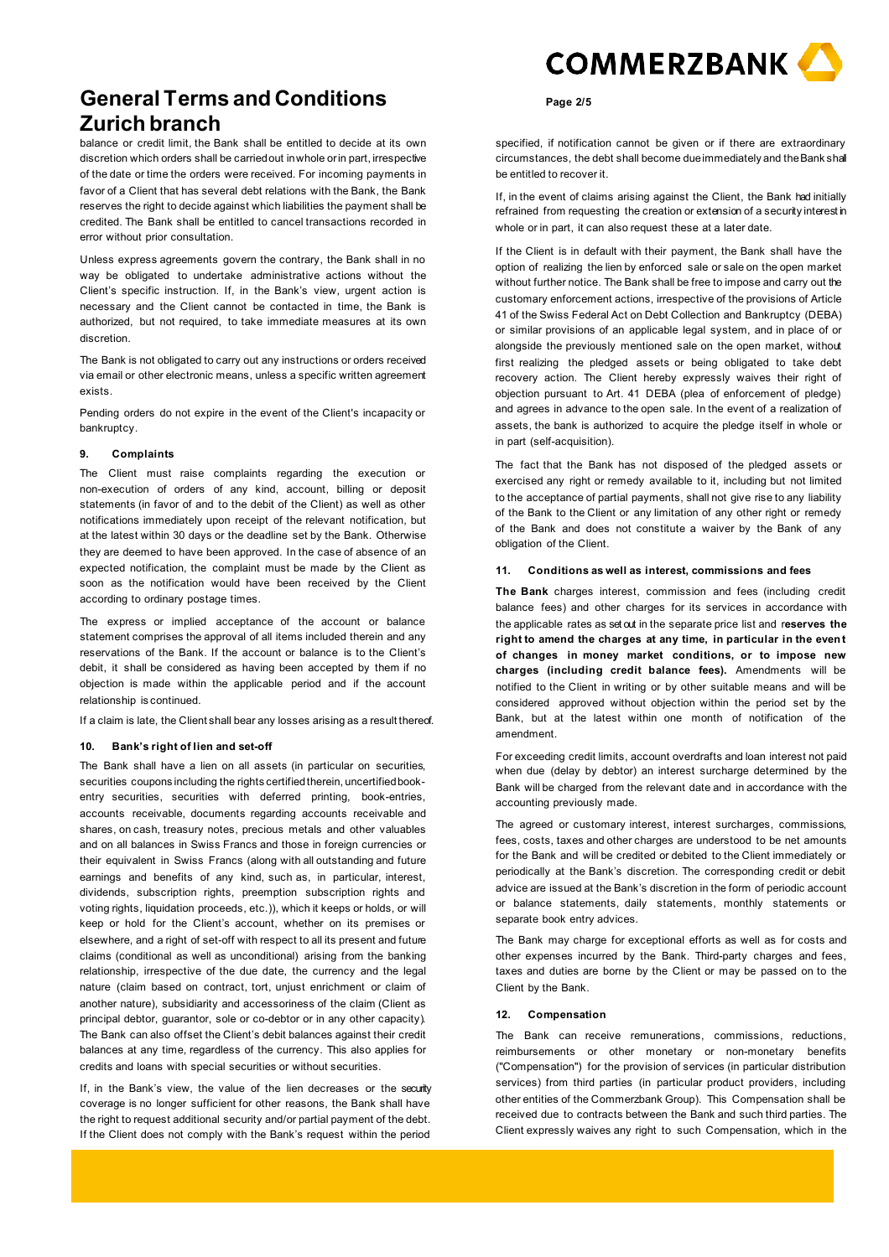balance or credit limit, the Bank shall be entitled to decide at its own discretion which orders shall be carriedout inwhole orin part, irrespective of the date or time the orders were received. For incoming payments in favor of a Client that has several debt relations with the Bank, the Bank reserves the right to decide against which liabilities the payment shall be credited. The Bank shall be entitled to cancel transactions recorded in error without prior consultation.

Unless express agreements govern the contrary, the Bank shall in no way be obligated to undertake administrative actions without the Client's specific instruction. If, in the Bank's view, urgent action is necessary and the Client cannot be contacted in time, the Bank is authorized, but not required, to take immediate measures at its own discretion.

The Bank is not obligated to carry out any instructions or orders received via email or other electronic means, unless a specific written agreement exists.

Pending orders do not expire in the event of the Client's incapacity or bankruptcy.

#### **9. Complaints**

The Client must raise complaints regarding the execution or non-execution of orders of any kind, account, billing or deposit statements (in favor of and to the debit of the Client) as well as other notifications immediately upon receipt of the relevant notification, but at the latest within 30 days or the deadline set by the Bank. Otherwise they are deemed to have been approved. In the case of absence of an expected notification, the complaint must be made by the Client as soon as the notification would have been received by the Client according to ordinary postage times.

The express or implied acceptance of the account or balance statement comprises the approval of all items included therein and any reservations of the Bank. If the account or balance is to the Client's debit, it shall be considered as having been accepted by them if no objection is made within the applicable period and if the account relationship is continued.

If a claim is late, the Client shall bear any losses arising as a result thereof.

# **10. Bank's right of lien and set-off**

The Bank shall have a lien on all assets (in particular on securities, securities coupons including the rights certified therein, uncertified bookentry securities, securities with deferred printing, book-entries, accounts receivable, documents regarding accounts receivable and shares, on cash, treasury notes, precious metals and other valuables and on all balances in Swiss Francs and those in foreign currencies or their equivalent in Swiss Francs (along with all outstanding and future earnings and benefits of any kind, such as, in particular, interest, dividends, subscription rights, preemption subscription rights and voting rights, liquidation proceeds, etc.)), which it keeps or holds, or will keep or hold for the Client's account, whether on its premises or elsewhere, and a right of set-off with respect to all its present and future claims (conditional as well as unconditional) arising from the banking relationship, irrespective of the due date, the currency and the legal nature (claim based on contract, tort, unjust enrichment or claim of another nature), subsidiarity and accessoriness of the claim (Client as principal debtor, guarantor, sole or co-debtor or in any other capacity). The Bank can also offset the Client's debit balances against their credit balances at any time, regardless of the currency. This also applies for credits and loans with special securities or without securities.

If, in the Bank's view, the value of the lien decreases or the security coverage is no longer sufficient for other reasons, the Bank shall have the right to request additional security and/or partial payment of the debt. If the Client does not comply with the Bank's request within the period



### **Page 2/5**

specified, if notification cannot be given or if there are extraordinary circumstances, the debt shall become dueimmediately and theBank shall be entitled to recover it.

If, in the event of claims arising against the Client, the Bank had initially refrained from requesting the creation or extension of a security interest in whole or in part, it can also request these at a later date.

If the Client is in default with their payment, the Bank shall have the option of realizing the lien by enforced sale or sale on the open market without further notice. The Bank shall be free to impose and carry out the customary enforcement actions, irrespective of the provisions of Article 41 of the Swiss Federal Act on Debt Collection and Bankruptcy (DEBA) or similar provisions of an applicable legal system, and in place of or alongside the previously mentioned sale on the open market, without first realizing the pledged assets or being obligated to take debt recovery action. The Client hereby expressly waives their right of objection pursuant to Art. 41 DEBA (plea of enforcement of pledge) and agrees in advance to the open sale. In the event of a realization of assets, the bank is authorized to acquire the pledge itself in whole or in part (self-acquisition).

The fact that the Bank has not disposed of the pledged assets or exercised any right or remedy available to it, including but not limited to the acceptance of partial payments, shall not give rise to any liability of the Bank to the Client or any limitation of any other right or remedy of the Bank and does not constitute a waiver by the Bank of any obligation of the Client.

## **11. Conditions as well as interest, commissions and fees**

**The Bank** charges interest, commission and fees (including credit balance fees) and other charges for its services in accordance with the applicable rates as set out in the separate price list and r**eserves the right to amend the charges at any time, in particular in the even t of changes in money market conditions, or to impose new charges (including credit balance fees).** Amendments will be notified to the Client in writing or by other suitable means and will be considered approved without objection within the period set by the Bank, but at the latest within one month of notification of the amendment.

For exceeding credit limits, account overdrafts and loan interest not paid when due (delay by debtor) an interest surcharge determined by the Bank will be charged from the relevant date and in accordance with the accounting previously made.

The agreed or customary interest, interest surcharges, commissions, fees, costs, taxes and other charges are understood to be net amounts for the Bank and will be credited or debited to the Client immediately or periodically at the Bank's discretion. The corresponding credit or debit advice are issued at the Bank's discretion in the form of periodic account or balance statements, daily statements, monthly statements or separate book entry advices.

The Bank may charge for exceptional efforts as well as for costs and other expenses incurred by the Bank. Third-party charges and fees, taxes and duties are borne by the Client or may be passed on to the Client by the Bank.

#### **12. Compensation**

The Bank can receive remunerations, commissions, reductions, reimbursements or other monetary or non-monetary benefits ("Compensation") for the provision of services (in particular distribution services) from third parties (in particular product providers, including other entities of the Commerzbank Group). This Compensation shall be received due to contracts between the Bank and such third parties. The Client expressly waives any right to such Compensation, which in the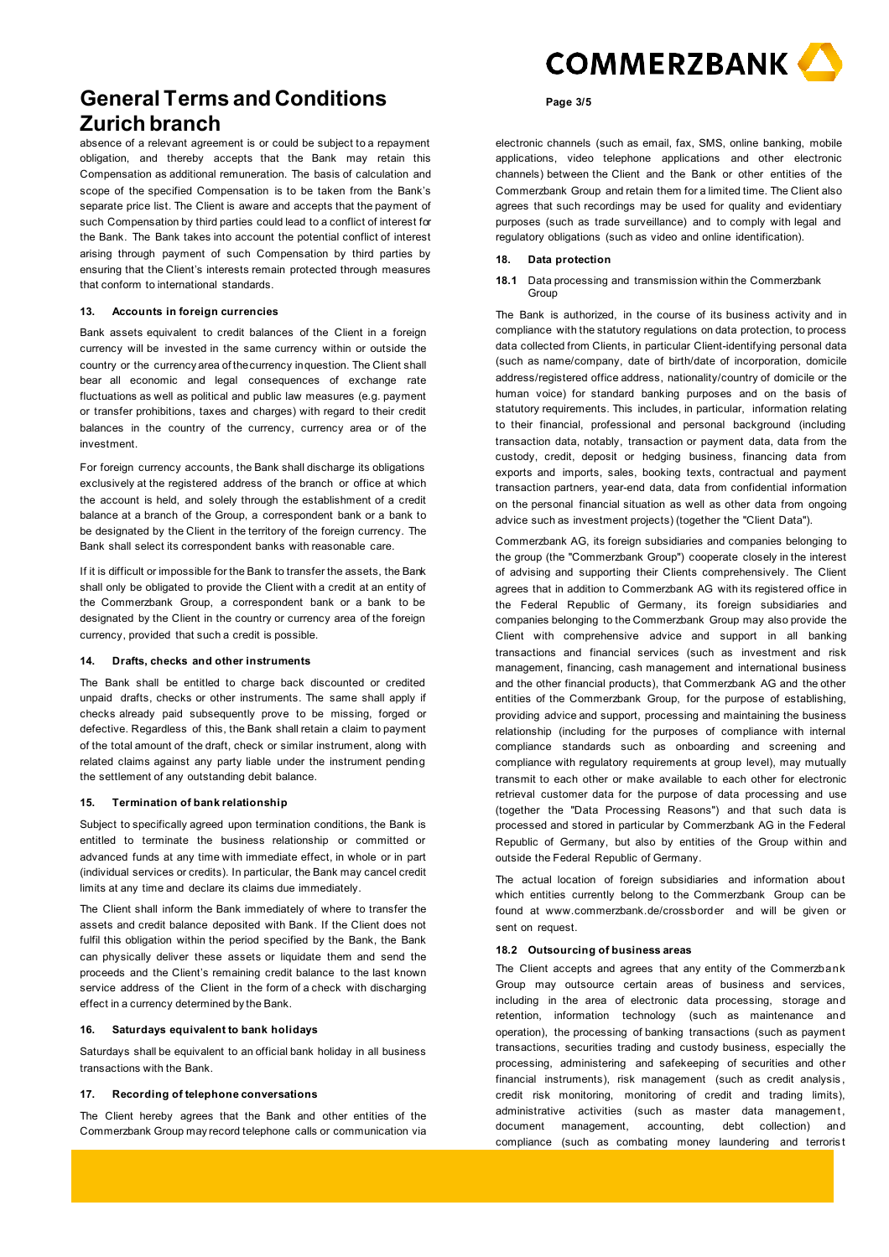absence of a relevant agreement is or could be subject to a repayment obligation, and thereby accepts that the Bank may retain this Compensation as additional remuneration. The basis of calculation and scope of the specified Compensation is to be taken from the Bank's separate price list. The Client is aware and accepts that the payment of such Compensation by third parties could lead to a conflict of interest for the Bank. The Bank takes into account the potential conflict of interest arising through payment of such Compensation by third parties by ensuring that the Client's interests remain protected through measures that conform to international standards.

#### **13. Accounts in foreign currencies**

Bank assets equivalent to credit balances of the Client in a foreign currency will be invested in the same currency within or outside the country or the currency area of thecurrency inquestion. The Client shall bear all economic and legal consequences of exchange rate fluctuations as well as political and public law measures (e.g. payment or transfer prohibitions, taxes and charges) with regard to their credit balances in the country of the currency, currency area or of the investment.

For foreign currency accounts, the Bank shall discharge its obligations exclusively at the registered address of the branch or office at which the account is held, and solely through the establishment of a credit balance at a branch of the Group, a correspondent bank or a bank to be designated by the Client in the territory of the foreign currency. The Bank shall select its correspondent banks with reasonable care.

If it is difficult or impossible for the Bank to transfer the assets, the Bank shall only be obligated to provide the Client with a credit at an entity of the Commerzbank Group, a correspondent bank or a bank to be designated by the Client in the country or currency area of the foreign currency, provided that such a credit is possible.

## **14. Drafts, checks and other instruments**

The Bank shall be entitled to charge back discounted or credited unpaid drafts, checks or other instruments. The same shall apply if checks already paid subsequently prove to be missing, forged or defective. Regardless of this, the Bank shall retain a claim to payment of the total amount of the draft, check or similar instrument, along with related claims against any party liable under the instrument pending the settlement of any outstanding debit balance.

# **15. Termination of bank relationship**

Subject to specifically agreed upon termination conditions, the Bank is entitled to terminate the business relationship or committed or advanced funds at any time with immediate effect, in whole or in part (individual services or credits). In particular, the Bank may cancel credit limits at any time and declare its claims due immediately.

The Client shall inform the Bank immediately of where to transfer the assets and credit balance deposited with Bank. If the Client does not fulfil this obligation within the period specified by the Bank, the Bank can physically deliver these assets or liquidate them and send the proceeds and the Client's remaining credit balance to the last known service address of the Client in the form of a check with discharging effect in a currency determined by the Bank.

## **16. Saturdays equivalent to bank holidays**

Saturdays shall be equivalent to an official bank holiday in all business transactions with the Bank.

## **17. Recording of telephone conversations**

The Client hereby agrees that the Bank and other entities of the Commerzbank Group may record telephone calls or communication via



#### **Page 3/5**

electronic channels (such as email, fax, SMS, online banking, mobile applications, video telephone applications and other electronic channels) between the Client and the Bank or other entities of the Commerzbank Group and retain them for a limited time. The Client also agrees that such recordings may be used for quality and evidentiary purposes (such as trade surveillance) and to comply with legal and regulatory obligations (such as video and online identification).

- **18. Data protection**
- **18.1** Data processing and transmission within the Commerzbank Group

The Bank is authorized, in the course of its business activity and in compliance with the statutory regulations on data protection, to process data collected from Clients, in particular Client-identifying personal data (such as name/company, date of birth/date of incorporation, domicile address/registered office address, nationality/country of domicile or the human voice) for standard banking purposes and on the basis of statutory requirements. This includes, in particular, information relating to their financial, professional and personal background (including transaction data, notably, transaction or payment data, data from the custody, credit, deposit or hedging business, financing data from exports and imports, sales, booking texts, contractual and payment transaction partners, year-end data, data from confidential information on the personal financial situation as well as other data from ongoing advice such as investment projects) (together the "Client Data").

Commerzbank AG, its foreign subsidiaries and companies belonging to the group (the "Commerzbank Group") cooperate closely in the interest of advising and supporting their Clients comprehensively. The Client agrees that in addition to Commerzbank AG with its registered office in the Federal Republic of Germany, its foreign subsidiaries and companies belonging to the Commerzbank Group may also provide the Client with comprehensive advice and support in all banking transactions and financial services (such as investment and risk management, financing, cash management and international business and the other financial products), that Commerzbank AG and the other entities of the Commerzbank Group, for the purpose of establishing, providing advice and support, processing and maintaining the business relationship (including for the purposes of compliance with internal compliance standards such as onboarding and screening and compliance with regulatory requirements at group level), may mutually transmit to each other or make available to each other for electronic retrieval customer data for the purpose of data processing and use (together the "Data Processing Reasons") and that such data is processed and stored in particular by Commerzbank AG in the Federal Republic of Germany, but also by entities of the Group within and outside the Federal Republic of Germany.

The actual location of foreign subsidiaries and information about which entities currently belong to the Commerzbank Group can be found at [www.commerzbank.de/crossborder a](http://www.commerzbank.de/crossborder)nd will be given or sent on request.

# **18.2 Outsourcing of business areas**

The Client accepts and agrees that any entity of the Commerzbank Group may outsource certain areas of business and services, including in the area of electronic data processing, storage and retention, information technology (such as maintenance and operation), the processing of banking transactions (such as payment transactions, securities trading and custody business, especially the processing, administering and safekeeping of securities and other financial instruments), risk management (such as credit analysis , credit risk monitoring, monitoring of credit and trading limits), administrative activities (such as master data management, document management, accounting, debt collection) and compliance (such as combating money laundering and terroris t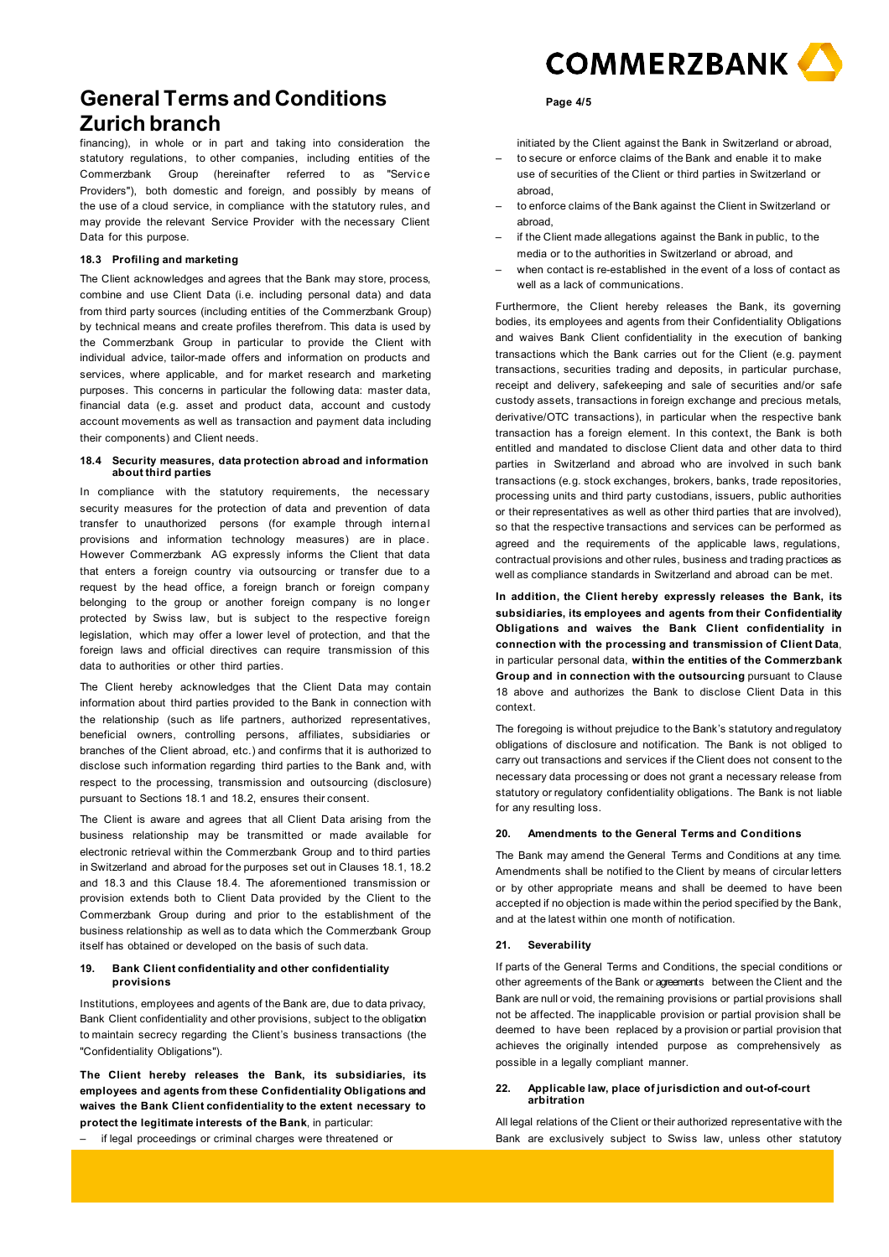financing), in whole or in part and taking into consideration the statutory regulations, to other companies, including entities of the Commerzbank Group (hereinafter referred to as "Servic e Providers"), both domestic and foreign, and possibly by means of the use of a cloud service, in compliance with the statutory rules, and may provide the relevant Service Provider with the necessary Client Data for this purpose.

# **18.3 Profiling and marketing**

The Client acknowledges and agrees that the Bank may store, process, combine and use Client Data (i.e. including personal data) and data from third party sources (including entities of the Commerzbank Group) by technical means and create profiles therefrom. This data is used by the Commerzbank Group in particular to provide the Client with individual advice, tailor-made offers and information on products and services, where applicable, and for market research and marketing purposes. This concerns in particular the following data: master data, financial data (e.g. asset and product data, account and custody account movements as well as transaction and payment data including their components) and Client needs.

## **18.4 Security measures, data protection abroad and information about third parties**

In compliance with the statutory requirements, the necessary security measures for the protection of data and prevention of data transfer to unauthorized persons (for example through internal provisions and information technology measures) are in place. However Commerzbank AG expressly informs the Client that data that enters a foreign country via outsourcing or transfer due to a request by the head office, a foreign branch or foreign company belonging to the group or another foreign company is no longer protected by Swiss law, but is subject to the respective foreign legislation, which may offer a lower level of protection, and that the foreign laws and official directives can require transmission of this data to authorities or other third parties.

The Client hereby acknowledges that the Client Data may contain information about third parties provided to the Bank in connection with the relationship (such as life partners, authorized representatives, beneficial owners, controlling persons, affiliates, subsidiaries or branches of the Client abroad, etc.) and confirms that it is authorized to disclose such information regarding third parties to the Bank and, with respect to the processing, transmission and outsourcing (disclosure) pursuant to Sections 18.1 and 18.2, ensures their consent.

The Client is aware and agrees that all Client Data arising from the business relationship may be transmitted or made available for electronic retrieval within the Commerzbank Group and to third parties in Switzerland and abroad for the purposes set out in Clauses 18.1, 18.2 and 18.3 and this Clause 18.4. The aforementioned transmission or provision extends both to Client Data provided by the Client to the Commerzbank Group during and prior to the establishment of the business relationship as well as to data which the Commerzbank Group itself has obtained or developed on the basis of such data.

# **19. Bank Client confidentiality and other confidentiality provisions**

Institutions, employees and agents of the Bank are, due to data privacy, Bank Client confidentiality and other provisions, subject to the obligation to maintain secrecy regarding the Client's business transactions (the "Confidentiality Obligations").

**The Client hereby releases the Bank, its subsidiaries, its employees and agents from these Confidentiality Obligations and waives the Bank Client confidentiality to the extent necessary to protect the legitimate interests of the Bank**, in particular:

if legal proceedings or criminal charges were threatened or



# **Page 4/5**

initiated by the Client against the Bank in Switzerland or abroad,

- to secure or enforce claims of the Bank and enable it to make use of securities of the Client or third parties in Switzerland or abroad,
- to enforce claims of the Bank against the Client in Switzerland or abroad,
- if the Client made allegations against the Bank in public, to the media or to the authorities in Switzerland or abroad, and
- when contact is re-established in the event of a loss of contact as well as a lack of communications.

Furthermore, the Client hereby releases the Bank, its governing bodies, its employees and agents from their Confidentiality Obligations and waives Bank Client confidentiality in the execution of banking transactions which the Bank carries out for the Client (e.g. payment transactions, securities trading and deposits, in particular purchase, receipt and delivery, safekeeping and sale of securities and/or safe custody assets, transactions in foreign exchange and precious metals, derivative/OTC transactions), in particular when the respective bank transaction has a foreign element. In this context, the Bank is both entitled and mandated to disclose Client data and other data to third parties in Switzerland and abroad who are involved in such bank transactions (e.g. stock exchanges, brokers, banks, trade repositories, processing units and third party custodians, issuers, public authorities or their representatives as well as other third parties that are involved), so that the respective transactions and services can be performed as agreed and the requirements of the applicable laws, regulations, contractual provisions and other rules, business and trading practices as well as compliance standards in Switzerland and abroad can be met.

**In addition, the Client hereby expressly releases the Bank, its subsidiaries, its employees and agents from their Confidentiality Obligations and waives the Bank Client confidentiality in connection with the processing and transmission of Client Data**, in particular personal data, **within the entities of the Commerzbank Group and in connection with the outsourcing** pursuant to Clause 18 above and authorizes the Bank to disclose Client Data in this context.

The foregoing is without prejudice to the Bank's statutory andregulatory obligations of disclosure and notification. The Bank is not obliged to carry out transactions and services if the Client does not consent to the necessary data processing or does not grant a necessary release from statutory or regulatory confidentiality obligations. The Bank is not liable for any resulting loss.

# **20. Amendments to the General Terms and Conditions**

The Bank may amend the General Terms and Conditions at any time. Amendments shall be notified to the Client by means of circular letters or by other appropriate means and shall be deemed to have been accepted if no objection is made within the period specified by the Bank, and at the latest within one month of notification.

#### **21. Severability**

If parts of the General Terms and Conditions, the special conditions or other agreements of the Bank or agreements between the Client and the Bank are null or void, the remaining provisions or partial provisions shall not be affected. The inapplicable provision or partial provision shall be deemed to have been replaced by a provision or partial provision that achieves the originally intended purpose as comprehensively as possible in a legally compliant manner.

## **22. Applicable law, place of jurisdiction and out-of-court arbitration**

All legal relations of the Client or their authorized representative with the Bank are exclusively subject to Swiss law, unless other statutory